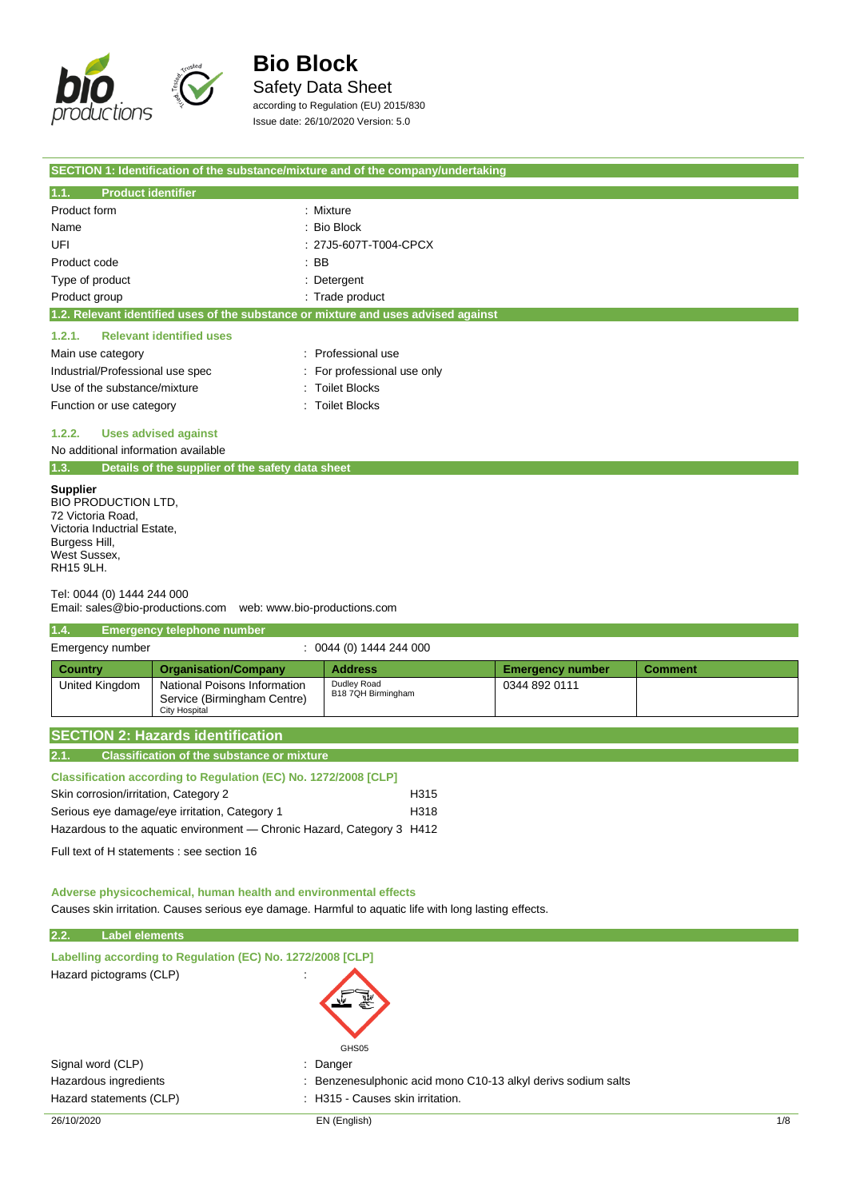

Safety Data Sheet

according to Regulation (EU) 2015/830 Issue date: 26/10/2020 Version: 5.0

|                                           | SECTION 1: Identification of the substance/mixture and of the company/undertaking  |
|-------------------------------------------|------------------------------------------------------------------------------------|
| 1.1.<br><b>Product identifier</b>         |                                                                                    |
| Product form                              | : Mixture                                                                          |
| Name                                      | $:$ Bio Block                                                                      |
| UFI                                       | : 27J5-607T-T004-CPCX                                                              |
| Product code                              | $\therefore$ BB                                                                    |
| Type of product                           | : Detergent                                                                        |
| Product group                             | : Trade product                                                                    |
|                                           | 1.2. Relevant identified uses of the substance or mixture and uses advised against |
| <b>Relevant identified uses</b><br>1.2.1. |                                                                                    |
| Main use category                         | : Professional use                                                                 |
| Industrial/Professional use spec          | : For professional use only                                                        |
| Use of the substance/mixture              | : Toilet Blocks                                                                    |
| Function or use category                  | <b>Toilet Blocks</b><br>÷                                                          |
| 1.2.2.<br><b>Uses advised against</b>     |                                                                                    |

No additional information available

|  | 1.3. | Details of the supplier of the safety data sheet |
|--|------|--------------------------------------------------|
|--|------|--------------------------------------------------|

**Supplier**

BIO PRODUCTION LTD, 72 Victoria Road, Victoria Inductrial Estate, Burgess Hill, West Sussex, RH15 9LH.

Tel: 0044 (0) 1444 244 000

Email: sales@bio-productions.com web: www.bio-productions.com

### **1.4. Emergency telephone number**

| Emergency number |                                                                              | 0044 (0) 1444 244 000             |                         |                |
|------------------|------------------------------------------------------------------------------|-----------------------------------|-------------------------|----------------|
| Country          | <b>Organisation/Company</b>                                                  | <b>Address</b>                    | <b>Emergency number</b> | <b>Comment</b> |
| United Kingdom   | National Poisons Information<br>Service (Birmingham Centre)<br>City Hospital | Dudley Road<br>B18 7QH Birmingham | 0344 892 0111           |                |

|       | <b>SECTION 2: Hazards identification</b>          |
|-------|---------------------------------------------------|
| 12.1. | <b>Classification of the substance or mixture</b> |

| <b>Classification according to Regulation (EC) No. 1272/2008 [CLP]</b> |      |
|------------------------------------------------------------------------|------|
| Skin corrosion/irritation, Category 2                                  | H315 |
| Serious eye damage/eye irritation, Category 1                          | H318 |
| Hazardous to the aguatic environment — Chronic Hazard, Category 3 H412 |      |

Full text of H statements : see section 16

**Adverse physicochemical, human health and environmental effects**

Causes skin irritation. Causes serious eye damage. Harmful to aquatic life with long lasting effects.

### **2.2. Label elements**

| Labelling according to Regulation (EC) No. 1272/2008 [CLP]<br>Hazard pictograms (CLP) |                                                               |     |
|---------------------------------------------------------------------------------------|---------------------------------------------------------------|-----|
|                                                                                       | GHS05                                                         |     |
| Signal word (CLP)                                                                     | : Danger                                                      |     |
| Hazardous ingredients                                                                 | : Benzenesulphonic acid mono C10-13 alkyl derivs sodium salts |     |
| Hazard statements (CLP)                                                               | : H315 - Causes skin irritation.                              |     |
| 26/10/2020                                                                            | EN (English)                                                  | 1/8 |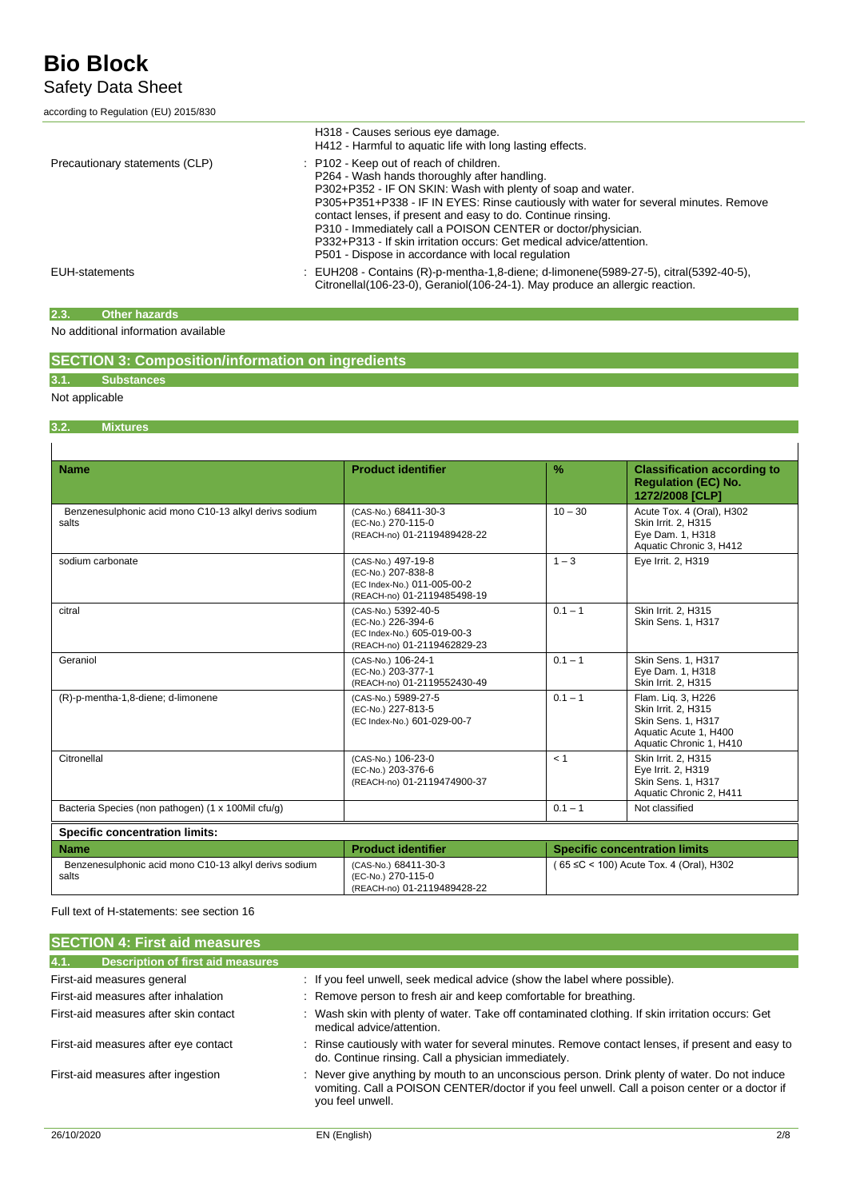Safety Data Sheet

according to Regulation (EU) 2015/830

|                                | H318 - Causes serious eye damage.<br>H412 - Harmful to aquatic life with long lasting effects.                                                                                                                                                                                                                                                                                                                                                                                                               |
|--------------------------------|--------------------------------------------------------------------------------------------------------------------------------------------------------------------------------------------------------------------------------------------------------------------------------------------------------------------------------------------------------------------------------------------------------------------------------------------------------------------------------------------------------------|
| Precautionary statements (CLP) | : P102 - Keep out of reach of children.<br>P264 - Wash hands thoroughly after handling.<br>P302+P352 - IF ON SKIN: Wash with plenty of soap and water.<br>P305+P351+P338 - IF IN EYES: Rinse cautiously with water for several minutes. Remove<br>contact lenses, if present and easy to do. Continue rinsing.<br>P310 - Immediately call a POISON CENTER or doctor/physician.<br>P332+P313 - If skin irritation occurs: Get medical advice/attention.<br>P501 - Dispose in accordance with local regulation |
| <b>EUH-statements</b>          | : EUH208 - Contains (R)-p-mentha-1,8-diene; d-limonene(5989-27-5), citral(5392-40-5),<br>Citronellal (106-23-0), Geraniol (106-24-1). May produce an allergic reaction.                                                                                                                                                                                                                                                                                                                                      |

#### **2.3. Other hazards**

No additional information available

|  |  | <b>SECTION 3: Composition/information on ingredients</b> |  |
|--|--|----------------------------------------------------------|--|
|--|--|----------------------------------------------------------|--|

### **3.1. Substances**

Not applicable

 $\overline{1}$ 

### **3.2. Mixtures**

| <b>Name</b>                                                    | <b>Product identifier</b>                                                                               | $\frac{9}{6}$                           | <b>Classification according to</b><br><b>Requlation (EC) No.</b><br>1272/2008 [CLP]                                 |  |
|----------------------------------------------------------------|---------------------------------------------------------------------------------------------------------|-----------------------------------------|---------------------------------------------------------------------------------------------------------------------|--|
| Benzenesulphonic acid mono C10-13 alkyl derivs sodium<br>salts | (CAS-No.) 68411-30-3<br>(EC-No.) 270-115-0<br>(REACH-no) 01-2119489428-22                               | $10 - 30$                               | Acute Tox. 4 (Oral), H302<br>Skin Irrit. 2, H315<br>Eye Dam. 1, H318<br>Aquatic Chronic 3, H412                     |  |
| sodium carbonate                                               | (CAS-No.) 497-19-8<br>(EC-No.) 207-838-8<br>(EC Index-No.) 011-005-00-2<br>(REACH-no) 01-2119485498-19  | $1 - 3$                                 | Eye Irrit. 2, H319                                                                                                  |  |
| citral                                                         | (CAS-No.) 5392-40-5<br>(EC-No.) 226-394-6<br>(EC Index-No.) 605-019-00-3<br>(REACH-no) 01-2119462829-23 | $0.1 - 1$                               | Skin Irrit. 2, H315<br>Skin Sens. 1, H317                                                                           |  |
| Geraniol                                                       | (CAS-No.) 106-24-1<br>(EC-No.) 203-377-1<br>(REACH-no) 01-2119552430-49                                 | $0.1 - 1$                               | Skin Sens. 1, H317<br>Eye Dam. 1, H318<br>Skin Irrit. 2, H315                                                       |  |
| (R)-p-mentha-1,8-diene; d-limonene                             | (CAS-No.) 5989-27-5<br>(EC-No.) 227-813-5<br>(EC Index-No.) 601-029-00-7                                | $0.1 - 1$                               | Flam. Lig. 3, H226<br>Skin Irrit. 2, H315<br>Skin Sens. 1, H317<br>Aquatic Acute 1, H400<br>Aquatic Chronic 1, H410 |  |
| Citronellal                                                    | (CAS-No.) 106-23-0<br>(EC-No.) 203-376-6<br>(REACH-no) 01-2119474900-37                                 | < 1                                     | Skin Irrit. 2, H315<br>Eye Irrit. 2, H319<br>Skin Sens. 1, H317<br>Aquatic Chronic 2, H411                          |  |
| Bacteria Species (non pathogen) (1 x 100Mil cfu/g)             |                                                                                                         | $0.1 - 1$                               | Not classified                                                                                                      |  |
| <b>Specific concentration limits:</b>                          |                                                                                                         |                                         |                                                                                                                     |  |
| <b>Name</b>                                                    | <b>Product identifier</b>                                                                               |                                         | <b>Specific concentration limits</b>                                                                                |  |
| Benzenesulphonic acid mono C10-13 alkyl derivs sodium<br>salts | (CAS-No.) 68411-30-3<br>(EC-No.) 270-115-0<br>(REACH-no) 01-2119489428-22                               | (65 ≤C < 100) Acute Tox, 4 (Oral), H302 |                                                                                                                     |  |

Full text of H-statements: see section 16

| <b>SECTION 4: First aid measures</b>             |                                                                                                                                                                                                                    |
|--------------------------------------------------|--------------------------------------------------------------------------------------------------------------------------------------------------------------------------------------------------------------------|
|                                                  |                                                                                                                                                                                                                    |
| 4.1.<br><b>Description of first aid measures</b> |                                                                                                                                                                                                                    |
| First-aid measures general                       | : If you feel unwell, seek medical advice (show the label where possible).                                                                                                                                         |
| First-aid measures after inhalation              | : Remove person to fresh air and keep comfortable for breathing.                                                                                                                                                   |
| First-aid measures after skin contact            | : Wash skin with plenty of water. Take off contaminated clothing. If skin irritation occurs: Get<br>medical advice/attention.                                                                                      |
| First-aid measures after eye contact             | : Rinse cautiously with water for several minutes. Remove contact lenses, if present and easy to<br>do. Continue rinsing. Call a physician immediately.                                                            |
| First-aid measures after ingestion               | : Never give anything by mouth to an unconscious person. Drink plenty of water. Do not induce<br>vomiting. Call a POISON CENTER/doctor if you feel unwell. Call a poison center or a doctor if<br>you feel unwell. |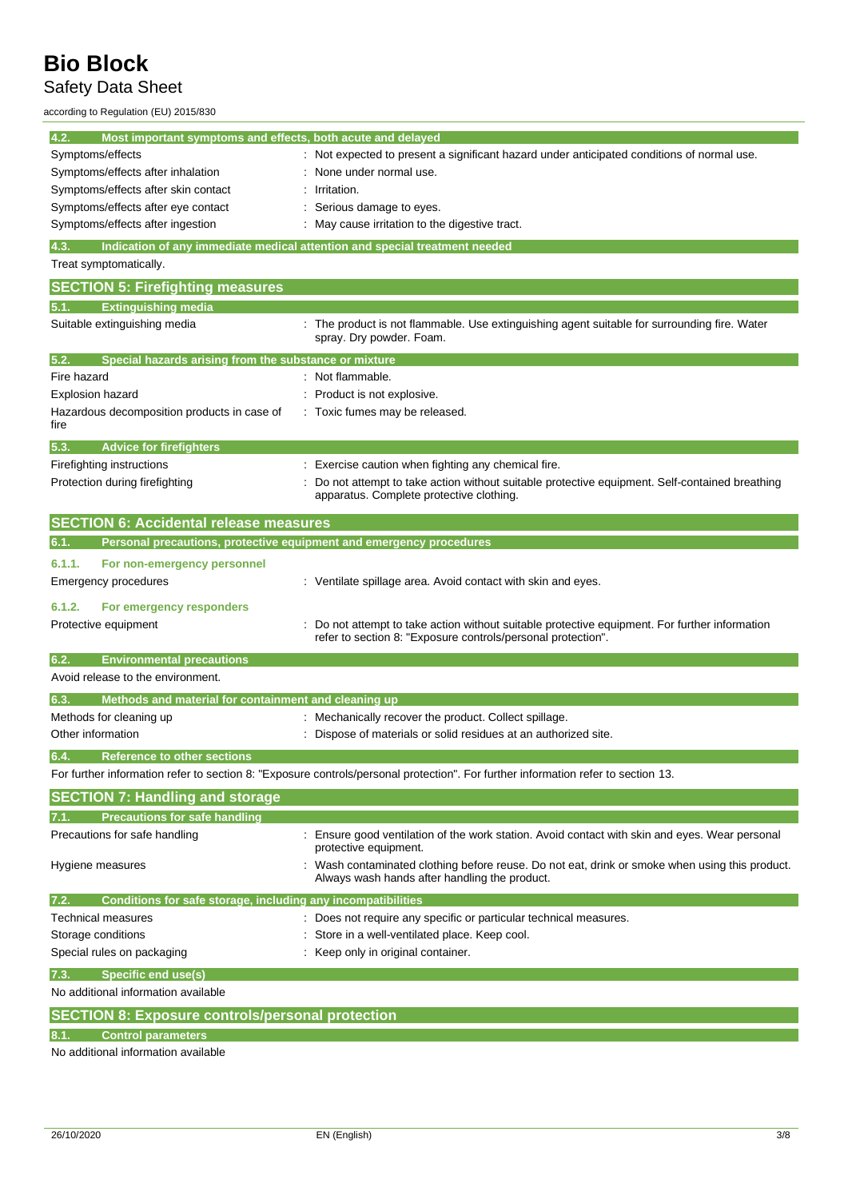## Safety Data Sheet

according to Regulation (EU) 2015/830

| 4.2.<br>Most important symptoms and effects, both acute and delayed        |                                                                                                                                                              |
|----------------------------------------------------------------------------|--------------------------------------------------------------------------------------------------------------------------------------------------------------|
| Symptoms/effects                                                           | Not expected to present a significant hazard under anticipated conditions of normal use.                                                                     |
| Symptoms/effects after inhalation                                          | None under normal use.                                                                                                                                       |
| Symptoms/effects after skin contact                                        | Irritation.                                                                                                                                                  |
| Symptoms/effects after eye contact                                         | Serious damage to eyes.                                                                                                                                      |
| Symptoms/effects after ingestion                                           | May cause irritation to the digestive tract.                                                                                                                 |
| 4.3.                                                                       | Indication of any immediate medical attention and special treatment needed                                                                                   |
| Treat symptomatically.                                                     |                                                                                                                                                              |
| <b>SECTION 5: Firefighting measures</b>                                    |                                                                                                                                                              |
| <b>Extinguishing media</b>                                                 |                                                                                                                                                              |
| Suitable extinguishing media                                               | : The product is not flammable. Use extinguishing agent suitable for surrounding fire. Water<br>spray. Dry powder. Foam.                                     |
| 5.2.<br>Special hazards arising from the substance or mixture              |                                                                                                                                                              |
| Fire hazard                                                                | : Not flammable.                                                                                                                                             |
| <b>Explosion hazard</b>                                                    | Product is not explosive.                                                                                                                                    |
| Hazardous decomposition products in case of<br>fire                        | : Toxic fumes may be released.                                                                                                                               |
| <b>Advice for firefighters</b><br>5.3.                                     |                                                                                                                                                              |
| Firefighting instructions                                                  | Exercise caution when fighting any chemical fire.                                                                                                            |
| Protection during firefighting                                             | Do not attempt to take action without suitable protective equipment. Self-contained breathing<br>apparatus. Complete protective clothing.                    |
| <b>SECTION 6: Accidental release measures</b>                              |                                                                                                                                                              |
| Personal precautions, protective equipment and emergency procedures<br>6.1 |                                                                                                                                                              |
| 6.1.1.<br>For non-emergency personnel                                      |                                                                                                                                                              |
| Emergency procedures                                                       | : Ventilate spillage area. Avoid contact with skin and eyes.                                                                                                 |
| 6.1.2.<br>For emergency responders                                         |                                                                                                                                                              |
| Protective equipment                                                       | Do not attempt to take action without suitable protective equipment. For further information<br>refer to section 8: "Exposure controls/personal protection". |
| <b>Environmental precautions</b><br>6.2.                                   |                                                                                                                                                              |
| Avoid release to the environment.                                          |                                                                                                                                                              |
| 6.3.<br>Methods and material for containment and cleaning up               |                                                                                                                                                              |
| Methods for cleaning up                                                    | : Mechanically recover the product. Collect spillage.                                                                                                        |
| Other information                                                          | Dispose of materials or solid residues at an authorized site.                                                                                                |
| 6.4.<br><b>Reference to other sections</b>                                 |                                                                                                                                                              |
|                                                                            | For further information refer to section 8: "Exposure controls/personal protection". For further information refer to section 13.                            |
| <b>SECTION 7: Handling and storage</b>                                     |                                                                                                                                                              |
| <b>Precautions for safe handling</b>                                       |                                                                                                                                                              |
| Precautions for safe handling                                              | Ensure good ventilation of the work station. Avoid contact with skin and eyes. Wear personal<br>protective equipment.                                        |
| Hygiene measures                                                           | Wash contaminated clothing before reuse. Do not eat, drink or smoke when using this product.<br>Always wash hands after handling the product.                |
| Conditions for safe storage, including any incompatibilities<br>7.2.       |                                                                                                                                                              |
| Technical measures                                                         | : Does not require any specific or particular technical measures.                                                                                            |
| Storage conditions                                                         | Store in a well-ventilated place. Keep cool.                                                                                                                 |
| Special rules on packaging                                                 | Keep only in original container.                                                                                                                             |
| <b>Specific end use(s)</b>                                                 |                                                                                                                                                              |
| No additional information available                                        |                                                                                                                                                              |
| <b>SECTION 8: Exposure controls/personal protection</b>                    |                                                                                                                                                              |
| <b>Control parameters</b><br>8.1.                                          |                                                                                                                                                              |

No additional information available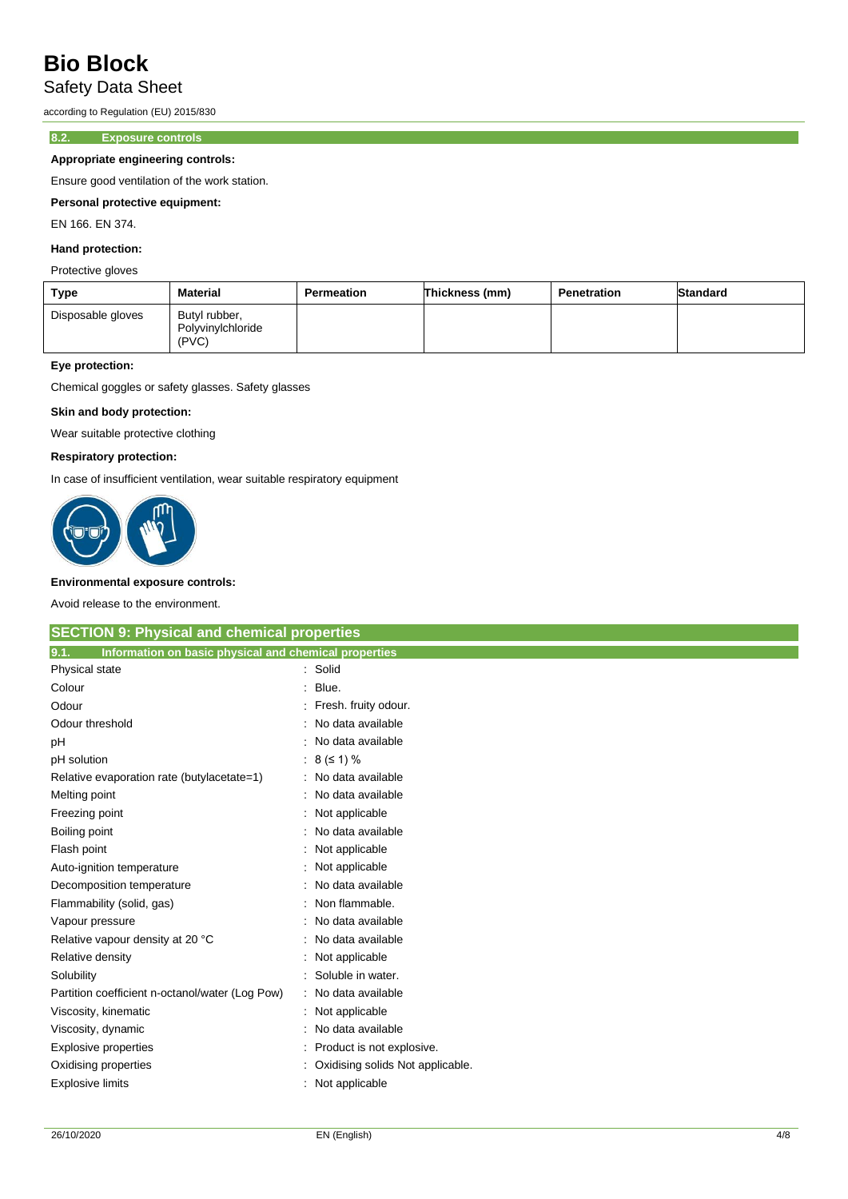### Safety Data Sheet

according to Regulation (EU) 2015/830

#### **8.2. Exposure controls**

#### **Appropriate engineering controls:**

Ensure good ventilation of the work station.

#### **Personal protective equipment:**

EN 166. EN 374.

#### **Hand protection:**

#### Protective gloves

| Type              | Material                                    | Permeation | Thickness (mm) | Penetration | <b>Standard</b> |
|-------------------|---------------------------------------------|------------|----------------|-------------|-----------------|
| Disposable gloves | Butyl rubber,<br>Polyvinylchloride<br>(PVC) |            |                |             |                 |

#### **Eye protection:**

Chemical goggles or safety glasses. Safety glasses

#### **Skin and body protection:**

Wear suitable protective clothing

#### **Respiratory protection:**

In case of insufficient ventilation, wear suitable respiratory equipment



#### **Environmental exposure controls:**

Avoid release to the environment.

| <b>SECTION 9: Physical and chemical properties</b>            |                                  |  |
|---------------------------------------------------------------|----------------------------------|--|
| 9.1.<br>Information on basic physical and chemical properties |                                  |  |
| Physical state                                                | : Solid                          |  |
| Colour                                                        | Blue.                            |  |
| Odour                                                         | Fresh. fruity odour.             |  |
| Odour threshold                                               | No data available                |  |
| pH                                                            | No data available                |  |
| pH solution                                                   | $8 (51) \%$                      |  |
| Relative evaporation rate (butylacetate=1)                    | No data available                |  |
| Melting point                                                 | No data available                |  |
| Freezing point                                                | Not applicable                   |  |
| Boiling point                                                 | No data available                |  |
| Flash point                                                   | Not applicable                   |  |
| Auto-ignition temperature                                     | Not applicable                   |  |
| Decomposition temperature                                     | No data available                |  |
| Flammability (solid, gas)                                     | Non flammable.                   |  |
| Vapour pressure                                               | No data available                |  |
| Relative vapour density at 20 °C                              | No data available                |  |
| Relative density                                              | Not applicable                   |  |
| Solubility                                                    | Soluble in water.                |  |
| Partition coefficient n-octanol/water (Log Pow)               | No data available                |  |
| Viscosity, kinematic                                          | Not applicable                   |  |
| Viscosity, dynamic                                            | No data available                |  |
| Explosive properties                                          | Product is not explosive.        |  |
| Oxidising properties                                          | Oxidising solids Not applicable. |  |
| <b>Explosive limits</b>                                       | Not applicable                   |  |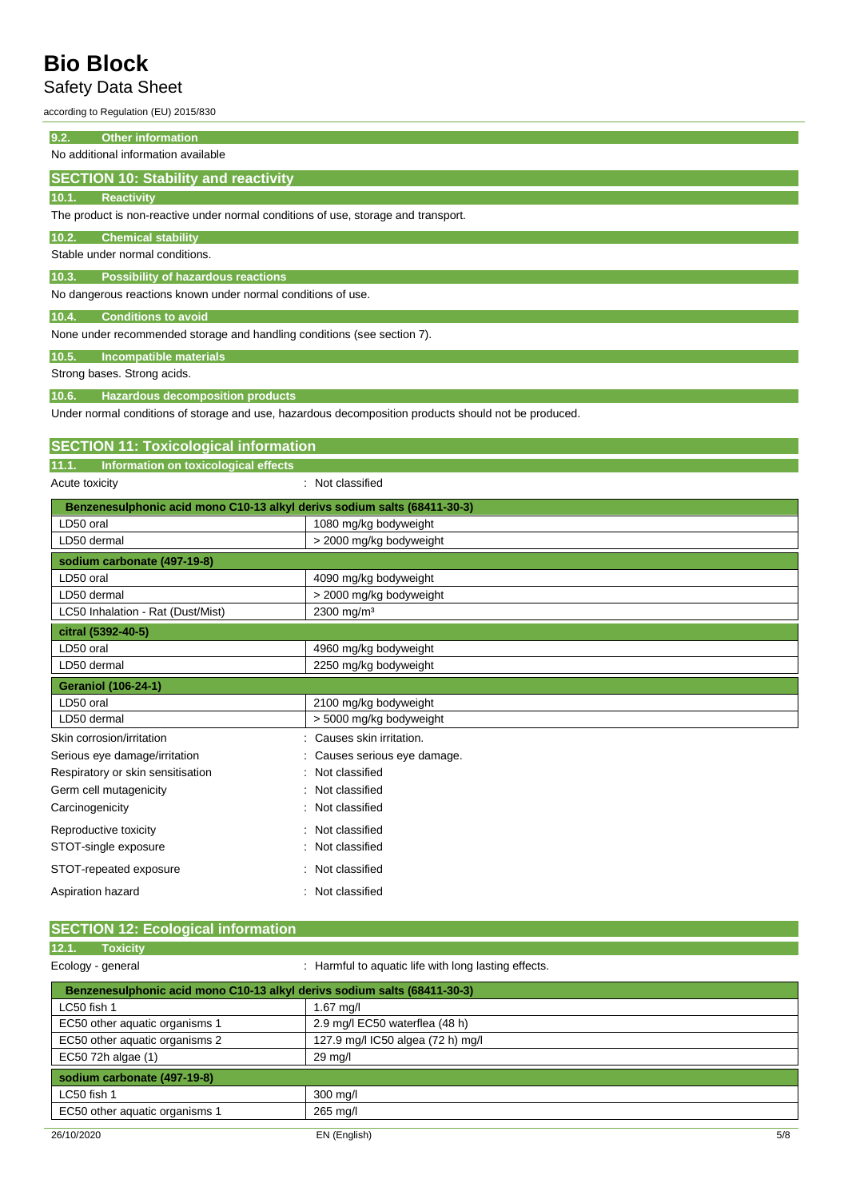## Safety Data Sheet

according to Regulation (EU) 2015/830

| <b>Other information</b><br>9.2.                                                   |                                                                                                      |  |
|------------------------------------------------------------------------------------|------------------------------------------------------------------------------------------------------|--|
| No additional information available                                                |                                                                                                      |  |
| <b>SECTION 10: Stability and reactivity</b>                                        |                                                                                                      |  |
| <b>Reactivity</b><br>10.1.                                                         |                                                                                                      |  |
| The product is non-reactive under normal conditions of use, storage and transport. |                                                                                                      |  |
| 10.2.<br><b>Chemical stability</b>                                                 |                                                                                                      |  |
| Stable under normal conditions.                                                    |                                                                                                      |  |
| <b>Possibility of hazardous reactions</b><br>10.3.                                 |                                                                                                      |  |
| No dangerous reactions known under normal conditions of use.                       |                                                                                                      |  |
| <b>Conditions to avoid</b><br>10.4.                                                |                                                                                                      |  |
| None under recommended storage and handling conditions (see section 7).            |                                                                                                      |  |
|                                                                                    |                                                                                                      |  |
| 10.5.<br>Incompatible materials<br>Strong bases. Strong acids.                     |                                                                                                      |  |
|                                                                                    |                                                                                                      |  |
| <b>Hazardous decomposition products</b><br>10.6.                                   | Under normal conditions of storage and use, hazardous decomposition products should not be produced. |  |
|                                                                                    |                                                                                                      |  |
| <b>SECTION 11: Toxicological information</b>                                       |                                                                                                      |  |
| Information on toxicological effects<br>11.1.                                      |                                                                                                      |  |
| Acute toxicity                                                                     | : Not classified                                                                                     |  |
| Benzenesulphonic acid mono C10-13 alkyl derivs sodium salts (68411-30-3)           |                                                                                                      |  |
| LD50 oral                                                                          | 1080 mg/kg bodyweight                                                                                |  |
| LD50 dermal                                                                        | > 2000 mg/kg bodyweight                                                                              |  |
| sodium carbonate (497-19-8)                                                        |                                                                                                      |  |
| LD50 oral                                                                          | 4090 mg/kg bodyweight                                                                                |  |
| LD50 dermal                                                                        | > 2000 mg/kg bodyweight                                                                              |  |
| LC50 Inhalation - Rat (Dust/Mist)                                                  | 2300 mg/m <sup>3</sup>                                                                               |  |
| citral (5392-40-5)                                                                 |                                                                                                      |  |
| LD50 oral                                                                          | 4960 mg/kg bodyweight                                                                                |  |
| LD50 dermal                                                                        | 2250 mg/kg bodyweight                                                                                |  |
| <b>Geraniol (106-24-1)</b>                                                         |                                                                                                      |  |
| LD50 oral                                                                          | 2100 mg/kg bodyweight                                                                                |  |
| LD50 dermal                                                                        | > 5000 mg/kg bodyweight                                                                              |  |
| Skin corrosion/irritation                                                          | Causes skin irritation.                                                                              |  |
| Serious eye damage/irritation                                                      | Causes serious eye damage                                                                            |  |
| Respiratory or skin sensitisation                                                  | Not classified                                                                                       |  |
| Germ cell mutagenicity                                                             | Not classified                                                                                       |  |
| Carcinogenicity                                                                    | Not classified                                                                                       |  |
| Reproductive toxicity                                                              | Not classified                                                                                       |  |
| STOT-single exposure                                                               | Not classified                                                                                       |  |
| STOT-repeated exposure                                                             | : Not classified                                                                                     |  |

#### **SECTION 12: Ecological information 12.1. Toxicity**

Aspiration hazard **in the case of the case of the case of the case of the case of the case of the case of the case of the case of the case of the case of the case of the case of the case of the case of the case of the case** 

| .<br><b>TUAIGH</b>             |                                                                          |     |
|--------------------------------|--------------------------------------------------------------------------|-----|
| Ecology - general              | : Harmful to aquatic life with long lasting effects.                     |     |
|                                | Benzenesulphonic acid mono C10-13 alkyl derivs sodium salts (68411-30-3) |     |
| LC50 fish 1                    | $1.67$ mg/l                                                              |     |
| EC50 other aquatic organisms 1 | 2.9 mg/l EC50 waterflea (48 h)                                           |     |
| EC50 other aquatic organisms 2 | 127.9 mg/l IC50 algea (72 h) mg/l                                        |     |
| EC50 72h algae (1)             | $29 \text{ mg/l}$                                                        |     |
| sodium carbonate (497-19-8)    |                                                                          |     |
| LC50 fish 1                    | $300$ mg/l                                                               |     |
| EC50 other aquatic organisms 1 | 265 mg/l                                                                 |     |
| 26/10/2020                     | EN (English)                                                             | 5/8 |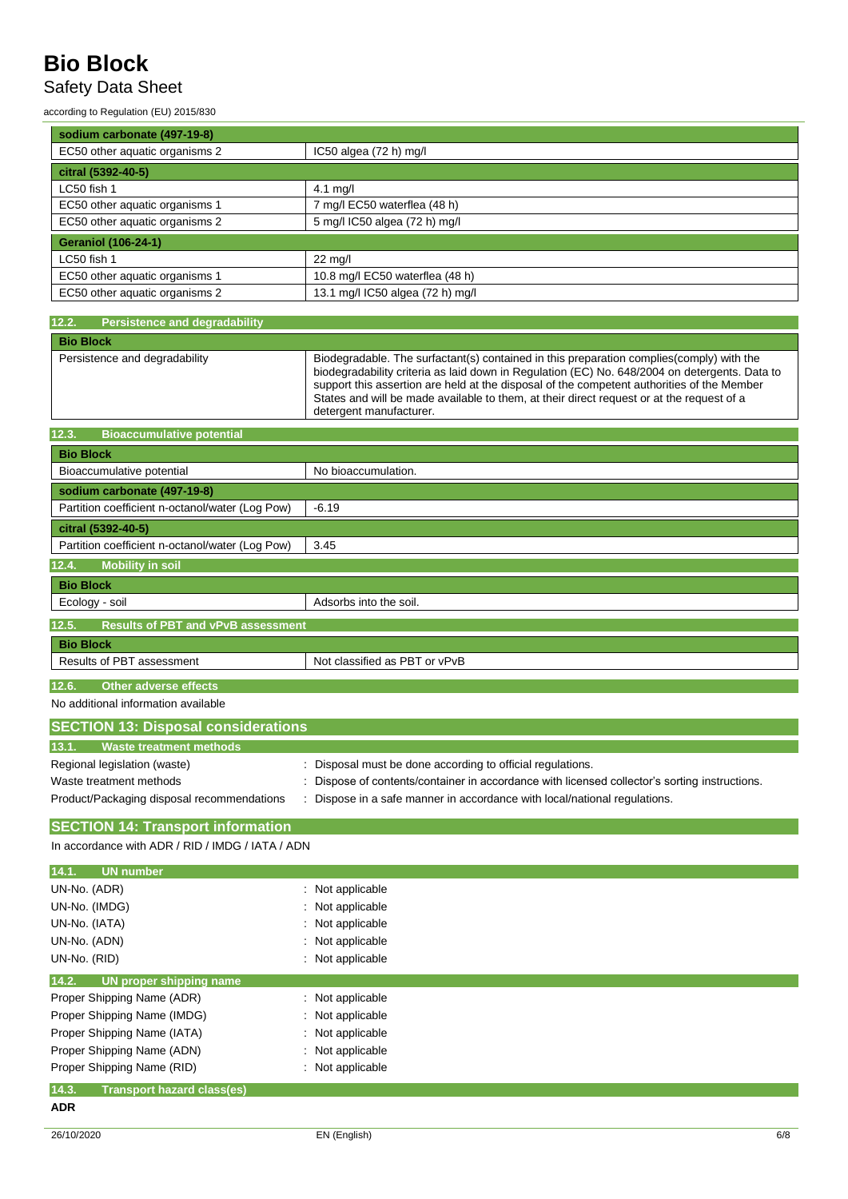## Safety Data Sheet

according to Regulation (EU) 2015/830

| sodium carbonate (497-19-8)    |                                  |
|--------------------------------|----------------------------------|
| EC50 other aquatic organisms 2 | IC50 algea (72 h) mg/l           |
| citral (5392-40-5)             |                                  |
| LC50 fish 1                    | 4.1 mg/l                         |
| EC50 other aquatic organisms 1 | 7 mg/l EC50 waterflea (48 h)     |
| EC50 other aquatic organisms 2 | 5 mg/l IC50 algea (72 h) mg/l    |
| <b>Geraniol (106-24-1)</b>     |                                  |
| LC50 fish 1                    | $22 \text{ mg/l}$                |
| EC50 other aquatic organisms 1 | 10.8 mg/l EC50 waterflea (48 h)  |
| EC50 other aquatic organisms 2 | 13.1 mg/l IC50 algea (72 h) mg/l |

| 12.2.<br><b>Persistence and degradability</b>      |                                                                                                                                                                                                                                                                                                                                                                                                                  |
|----------------------------------------------------|------------------------------------------------------------------------------------------------------------------------------------------------------------------------------------------------------------------------------------------------------------------------------------------------------------------------------------------------------------------------------------------------------------------|
| <b>Bio Block</b>                                   |                                                                                                                                                                                                                                                                                                                                                                                                                  |
| Persistence and degradability                      | Biodegradable. The surfactant(s) contained in this preparation complies (comply) with the<br>biodegradability criteria as laid down in Regulation (EC) No. 648/2004 on detergents. Data to<br>support this assertion are held at the disposal of the competent authorities of the Member<br>States and will be made available to them, at their direct request or at the request of a<br>detergent manufacturer. |
| <b>Bioaccumulative potential</b><br>12.3.          |                                                                                                                                                                                                                                                                                                                                                                                                                  |
| <b>Bio Block</b>                                   |                                                                                                                                                                                                                                                                                                                                                                                                                  |
| Bioaccumulative potential                          | No bioaccumulation.                                                                                                                                                                                                                                                                                                                                                                                              |
| sodium carbonate (497-19-8)                        |                                                                                                                                                                                                                                                                                                                                                                                                                  |
| Partition coefficient n-octanol/water (Log Pow)    | $-6.19$                                                                                                                                                                                                                                                                                                                                                                                                          |
| citral (5392-40-5)                                 |                                                                                                                                                                                                                                                                                                                                                                                                                  |
| Partition coefficient n-octanol/water (Log Pow)    | 3.45                                                                                                                                                                                                                                                                                                                                                                                                             |
| 12.4.<br><b>Mobility in soil</b>                   |                                                                                                                                                                                                                                                                                                                                                                                                                  |
| <b>Bio Block</b>                                   |                                                                                                                                                                                                                                                                                                                                                                                                                  |
| Ecology - soil                                     | Adsorbs into the soil.                                                                                                                                                                                                                                                                                                                                                                                           |
| 12.5.<br><b>Results of PBT and vPvB assessment</b> |                                                                                                                                                                                                                                                                                                                                                                                                                  |
| <b>Bio Block</b>                                   |                                                                                                                                                                                                                                                                                                                                                                                                                  |
| Results of PBT assessment                          | Not classified as PBT or vPvB                                                                                                                                                                                                                                                                                                                                                                                    |
| 12.6.<br><b>Other adverse effects</b>              |                                                                                                                                                                                                                                                                                                                                                                                                                  |
| No additional information available                |                                                                                                                                                                                                                                                                                                                                                                                                                  |
| <b>SECTION 13: Disposal considerations</b>         |                                                                                                                                                                                                                                                                                                                                                                                                                  |
| <b>Waste treatment methods</b><br>13.1.            |                                                                                                                                                                                                                                                                                                                                                                                                                  |
| Regional legislation (waste)                       | Disposal must be done according to official regulations.                                                                                                                                                                                                                                                                                                                                                         |
| Waste treatment methods                            | Dispose of contents/container in accordance with licensed collector's sorting instructions.                                                                                                                                                                                                                                                                                                                      |
| Product/Packaging disposal recommendations         | Dispose in a safe manner in accordance with local/national regulations.                                                                                                                                                                                                                                                                                                                                          |

### **SECTION 14: Transport information**

In accordance with ADR / RID / IMDG / IATA / ADN

| 14.1.<br>UN number                         |                  |
|--------------------------------------------|------------------|
| UN-No. (ADR)                               | : Not applicable |
| UN-No. (IMDG)                              | : Not applicable |
| UN-No. (IATA)                              | : Not applicable |
| UN-No. (ADN)                               | : Not applicable |
| UN-No. (RID)                               | : Not applicable |
| 14.2.<br>UN proper shipping name           |                  |
| Proper Shipping Name (ADR)                 | : Not applicable |
| Proper Shipping Name (IMDG)                | : Not applicable |
| Proper Shipping Name (IATA)                | : Not applicable |
| Proper Shipping Name (ADN)                 | : Not applicable |
| Proper Shipping Name (RID)                 | : Not applicable |
| 14.3.<br><b>Transport hazard class(es)</b> |                  |
| <b>ADR</b>                                 |                  |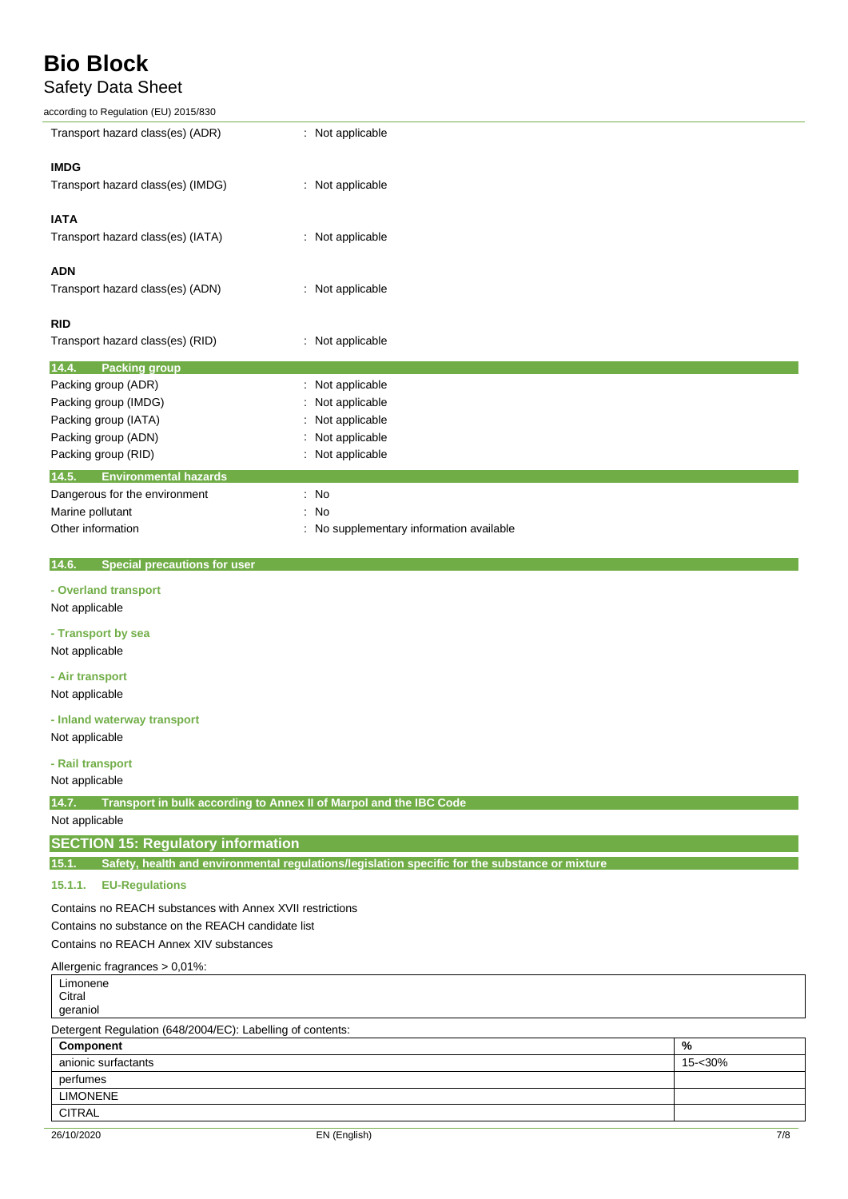## Safety Data Sheet

according to Regulation (EU) 2015/830

| according to Regulation (EU) 2015/830                                       |                                                                                                |         |
|-----------------------------------------------------------------------------|------------------------------------------------------------------------------------------------|---------|
| Transport hazard class(es) (ADR)                                            | : Not applicable                                                                               |         |
| <b>IMDG</b>                                                                 |                                                                                                |         |
| Transport hazard class(es) (IMDG)                                           | : Not applicable                                                                               |         |
|                                                                             |                                                                                                |         |
| <b>IATA</b>                                                                 |                                                                                                |         |
| Transport hazard class(es) (IATA)                                           | : Not applicable                                                                               |         |
|                                                                             |                                                                                                |         |
| <b>ADN</b>                                                                  |                                                                                                |         |
| Transport hazard class(es) (ADN)                                            | : Not applicable                                                                               |         |
|                                                                             |                                                                                                |         |
| <b>RID</b>                                                                  |                                                                                                |         |
| Transport hazard class(es) (RID)                                            | : Not applicable                                                                               |         |
| 14.4.<br><b>Packing group</b>                                               |                                                                                                |         |
| Packing group (ADR)                                                         | Not applicable<br>÷                                                                            |         |
| Packing group (IMDG)                                                        | Not applicable                                                                                 |         |
| Packing group (IATA)                                                        | Not applicable                                                                                 |         |
| Packing group (ADN)                                                         | Not applicable                                                                                 |         |
| Packing group (RID)                                                         | Not applicable                                                                                 |         |
| 14.5.<br><b>Environmental hazards</b>                                       |                                                                                                |         |
| Dangerous for the environment                                               | : No                                                                                           |         |
| Marine pollutant                                                            | No                                                                                             |         |
| Other information                                                           | No supplementary information available                                                         |         |
|                                                                             |                                                                                                |         |
| <b>Special precautions for user</b><br>14.6.                                |                                                                                                |         |
| - Overland transport                                                        |                                                                                                |         |
| Not applicable                                                              |                                                                                                |         |
| - Transport by sea                                                          |                                                                                                |         |
| Not applicable                                                              |                                                                                                |         |
| - Air transport                                                             |                                                                                                |         |
| Not applicable                                                              |                                                                                                |         |
|                                                                             |                                                                                                |         |
| - Inland waterway transport                                                 |                                                                                                |         |
| Not applicable                                                              |                                                                                                |         |
| - Rail transport                                                            |                                                                                                |         |
| Not applicable                                                              |                                                                                                |         |
| 14.7.<br>Transport in bulk according to Annex II of Marpol and the IBC Code |                                                                                                |         |
| Not applicable                                                              |                                                                                                |         |
| <b>SECTION 15: Regulatory information</b>                                   |                                                                                                |         |
| 15.1.                                                                       | Safety, health and environmental regulations/legislation specific for the substance or mixture |         |
| 15.1.1.<br><b>EU-Regulations</b>                                            |                                                                                                |         |
|                                                                             |                                                                                                |         |
| Contains no REACH substances with Annex XVII restrictions                   |                                                                                                |         |
| Contains no substance on the REACH candidate list                           |                                                                                                |         |
| Contains no REACH Annex XIV substances                                      |                                                                                                |         |
| Allergenic fragrances > 0,01%:                                              |                                                                                                |         |
| Limonene<br>Citral                                                          |                                                                                                |         |
| geraniol                                                                    |                                                                                                |         |
| Detergent Regulation (648/2004/EC): Labelling of contents:                  |                                                                                                |         |
| Component                                                                   |                                                                                                | %       |
| anionic surfactants                                                         |                                                                                                | 15-<30% |
| perfumes                                                                    |                                                                                                |         |
| <b>LIMONENE</b>                                                             |                                                                                                |         |
| <b>CITRAL</b>                                                               |                                                                                                |         |